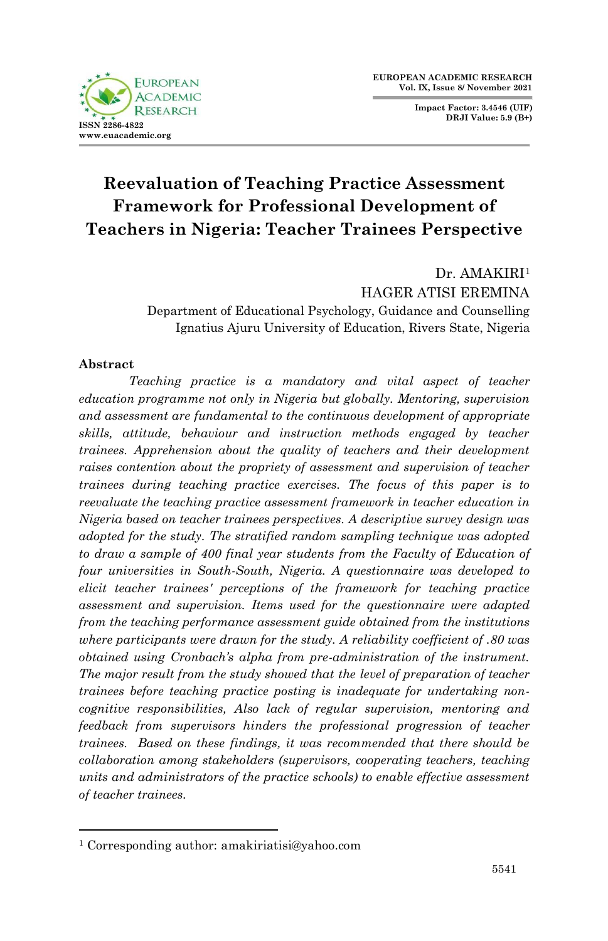

**Impact Factor: 3.4546 (UIF) DRJI Value: 5.9 (B+)**

# **Reevaluation of Teaching Practice Assessment Framework for Professional Development of Teachers in Nigeria: Teacher Trainees Perspective**

Dr. AMAKIRI<sup>1</sup> HAGER ATISI EREMINA Department of Educational Psychology, Guidance and Counselling Ignatius Ajuru University of Education, Rivers State, Nigeria

#### **Abstract**

1

*Teaching practice is a mandatory and vital aspect of teacher education programme not only in Nigeria but globally. Mentoring, supervision and assessment are fundamental to the continuous development of appropriate skills, attitude, behaviour and instruction methods engaged by teacher trainees. Apprehension about the quality of teachers and their development raises contention about the propriety of assessment and supervision of teacher trainees during teaching practice exercises. The focus of this paper is to reevaluate the teaching practice assessment framework in teacher education in Nigeria based on teacher trainees perspectives. A descriptive survey design was adopted for the study. The stratified random sampling technique was adopted to draw a sample of 400 final year students from the Faculty of Education of four universities in South-South, Nigeria. A questionnaire was developed to elicit teacher trainees' perceptions of the framework for teaching practice assessment and supervision. Items used for the questionnaire were adapted from the teaching performance assessment guide obtained from the institutions where participants were drawn for the study. A reliability coefficient of .80 was obtained using Cronbach's alpha from pre-administration of the instrument. The major result from the study showed that the level of preparation of teacher trainees before teaching practice posting is inadequate for undertaking noncognitive responsibilities, Also lack of regular supervision, mentoring and feedback from supervisors hinders the professional progression of teacher trainees. Based on these findings, it was recommended that there should be collaboration among stakeholders (supervisors, cooperating teachers, teaching units and administrators of the practice schools) to enable effective assessment of teacher trainees.*

<sup>1</sup> Corresponding author: amakiriatisi@yahoo.com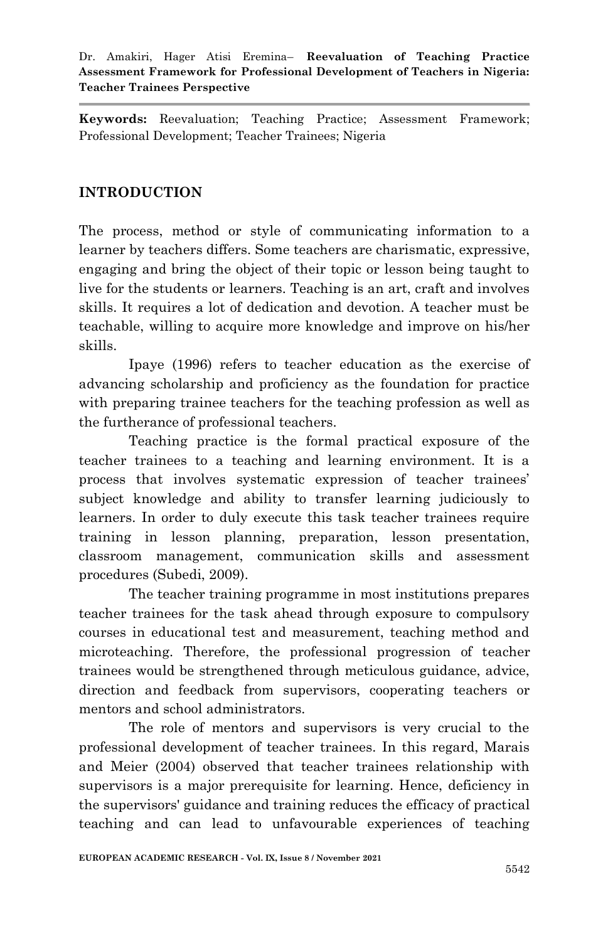**Keywords:** Reevaluation; Teaching Practice; Assessment Framework; Professional Development; Teacher Trainees; Nigeria

# **INTRODUCTION**

The process, method or style of communicating information to a learner by teachers differs. Some teachers are charismatic, expressive, engaging and bring the object of their topic or lesson being taught to live for the students or learners. Teaching is an art, craft and involves skills. It requires a lot of dedication and devotion. A teacher must be teachable, willing to acquire more knowledge and improve on his/her skills.

Ipaye (1996) refers to teacher education as the exercise of advancing scholarship and proficiency as the foundation for practice with preparing trainee teachers for the teaching profession as well as the furtherance of professional teachers.

Teaching practice is the formal practical exposure of the teacher trainees to a teaching and learning environment. It is a process that involves systematic expression of teacher trainees" subject knowledge and ability to transfer learning judiciously to learners. In order to duly execute this task teacher trainees require training in lesson planning, preparation, lesson presentation, classroom management, communication skills and assessment procedures (Subedi, 2009).

The teacher training programme in most institutions prepares teacher trainees for the task ahead through exposure to compulsory courses in educational test and measurement, teaching method and microteaching. Therefore, the professional progression of teacher trainees would be strengthened through meticulous guidance, advice, direction and feedback from supervisors, cooperating teachers or mentors and school administrators.

The role of mentors and supervisors is very crucial to the professional development of teacher trainees. In this regard, Marais and Meier (2004) observed that teacher trainees relationship with supervisors is a major prerequisite for learning. Hence, deficiency in the supervisors' guidance and training reduces the efficacy of practical teaching and can lead to unfavourable experiences of teaching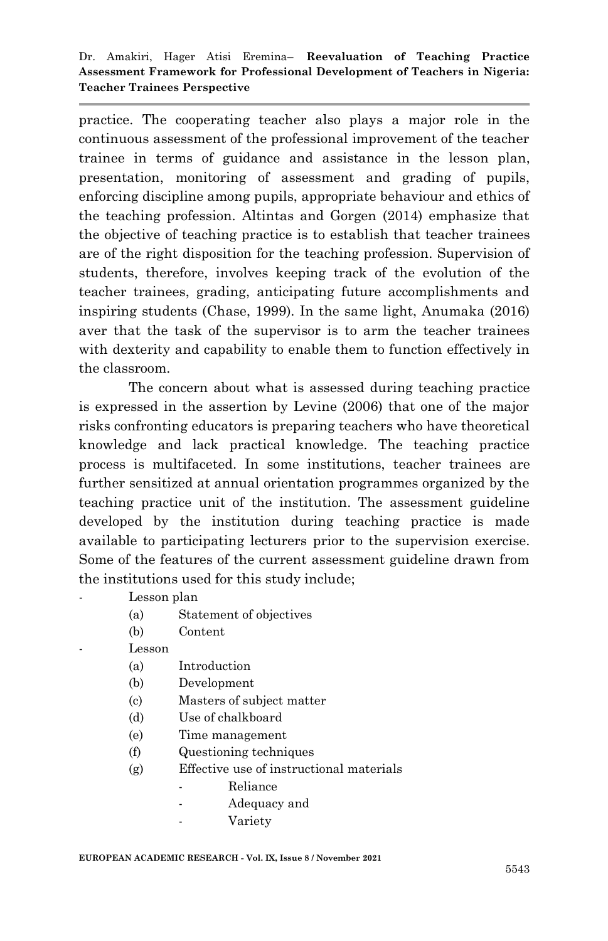practice. The cooperating teacher also plays a major role in the continuous assessment of the professional improvement of the teacher trainee in terms of guidance and assistance in the lesson plan, presentation, monitoring of assessment and grading of pupils, enforcing discipline among pupils, appropriate behaviour and ethics of the teaching profession. Altintas and Gorgen (2014) emphasize that the objective of teaching practice is to establish that teacher trainees are of the right disposition for the teaching profession. Supervision of students, therefore, involves keeping track of the evolution of the teacher trainees, grading, anticipating future accomplishments and inspiring students (Chase, 1999). In the same light, Anumaka (2016) aver that the task of the supervisor is to arm the teacher trainees with dexterity and capability to enable them to function effectively in the classroom.

The concern about what is assessed during teaching practice is expressed in the assertion by Levine (2006) that one of the major risks confronting educators is preparing teachers who have theoretical knowledge and lack practical knowledge. The teaching practice process is multifaceted. In some institutions, teacher trainees are further sensitized at annual orientation programmes organized by the teaching practice unit of the institution. The assessment guideline developed by the institution during teaching practice is made available to participating lecturers prior to the supervision exercise. Some of the features of the current assessment guideline drawn from the institutions used for this study include;

- Lesson plan
	- (a) Statement of objectives
	- (b) Content
	- Lesson
		- (a) Introduction
		- (b) Development
		- (c) Masters of subject matter
		- (d) Use of chalkboard
		- (e) Time management
		- (f) Questioning techniques
		- (g) Effective use of instructional materials
			- Reliance
			- Adequacy and
			- Variety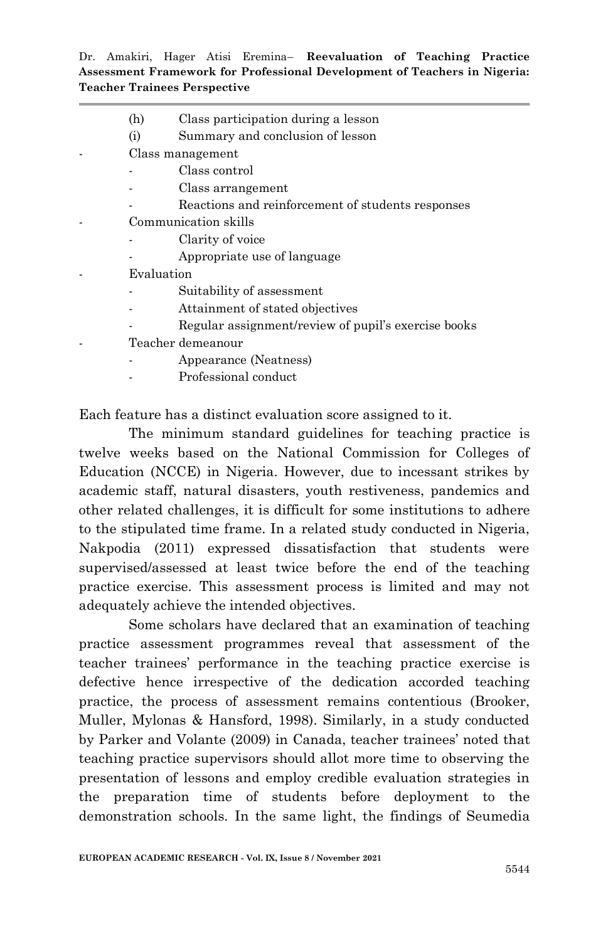- (h) Class participation during a lesson
- (i) Summary and conclusion of lesson
- Class management
	- Class control
	- Class arrangement
	- Reactions and reinforcement of students responses
- Communication skills
	- Clarity of voice
		- Appropriate use of language
- **Evaluation** 
	- Suitability of assessment
	- Attainment of stated objectives
	- Regular assignment/review of pupil's exercise books
	- Teacher demeanour
		- Appearance (Neatness)
		- Professional conduct

Each feature has a distinct evaluation score assigned to it.

The minimum standard guidelines for teaching practice is twelve weeks based on the National Commission for Colleges of Education (NCCE) in Nigeria. However, due to incessant strikes by academic staff, natural disasters, youth restiveness, pandemics and other related challenges, it is difficult for some institutions to adhere to the stipulated time frame. In a related study conducted in Nigeria, Nakpodia (2011) expressed dissatisfaction that students were supervised/assessed at least twice before the end of the teaching practice exercise. This assessment process is limited and may not adequately achieve the intended objectives.

Some scholars have declared that an examination of teaching practice assessment programmes reveal that assessment of the teacher trainees" performance in the teaching practice exercise is defective hence irrespective of the dedication accorded teaching practice, the process of assessment remains contentious (Brooker, Muller, Mylonas & Hansford, 1998). Similarly, in a study conducted by Parker and Volante (2009) in Canada, teacher trainees" noted that teaching practice supervisors should allot more time to observing the presentation of lessons and employ credible evaluation strategies in the preparation time of students before deployment to the demonstration schools. In the same light, the findings of Seumedia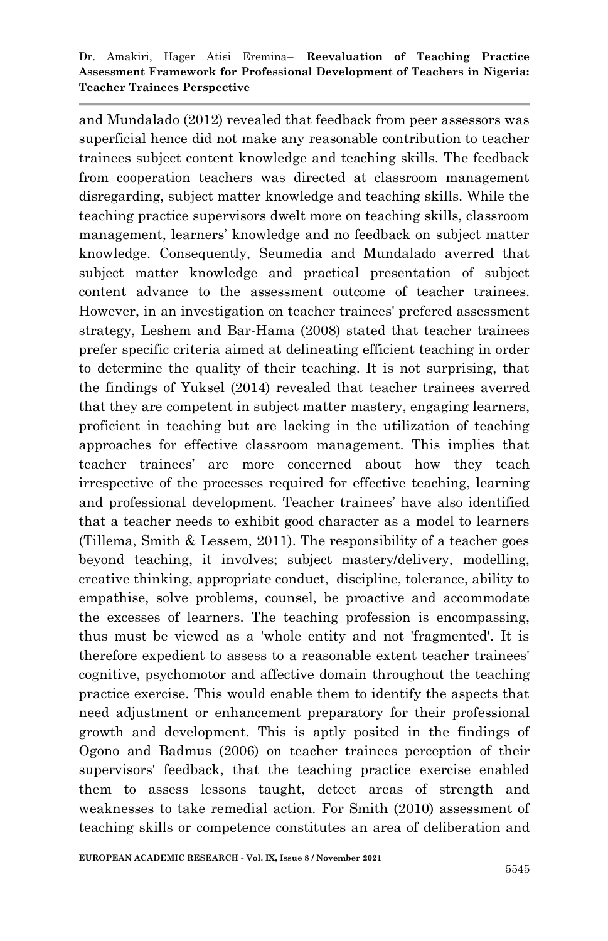and Mundalado (2012) revealed that feedback from peer assessors was superficial hence did not make any reasonable contribution to teacher trainees subject content knowledge and teaching skills. The feedback from cooperation teachers was directed at classroom management disregarding, subject matter knowledge and teaching skills. While the teaching practice supervisors dwelt more on teaching skills, classroom management, learners" knowledge and no feedback on subject matter knowledge. Consequently, Seumedia and Mundalado averred that subject matter knowledge and practical presentation of subject content advance to the assessment outcome of teacher trainees. However, in an investigation on teacher trainees' prefered assessment strategy, Leshem and Bar-Hama (2008) stated that teacher trainees prefer specific criteria aimed at delineating efficient teaching in order to determine the quality of their teaching. It is not surprising, that the findings of Yuksel (2014) revealed that teacher trainees averred that they are competent in subject matter mastery, engaging learners, proficient in teaching but are lacking in the utilization of teaching approaches for effective classroom management. This implies that teacher trainees" are more concerned about how they teach irrespective of the processes required for effective teaching, learning and professional development. Teacher trainees" have also identified that a teacher needs to exhibit good character as a model to learners (Tillema, Smith & Lessem, 2011). The responsibility of a teacher goes beyond teaching, it involves; subject mastery/delivery, modelling, creative thinking, appropriate conduct, discipline, tolerance, ability to empathise, solve problems, counsel, be proactive and accommodate the excesses of learners. The teaching profession is encompassing, thus must be viewed as a 'whole entity and not 'fragmented'. It is therefore expedient to assess to a reasonable extent teacher trainees' cognitive, psychomotor and affective domain throughout the teaching practice exercise. This would enable them to identify the aspects that need adjustment or enhancement preparatory for their professional growth and development. This is aptly posited in the findings of Ogono and Badmus (2006) on teacher trainees perception of their supervisors' feedback, that the teaching practice exercise enabled them to assess lessons taught, detect areas of strength and weaknesses to take remedial action. For Smith (2010) assessment of teaching skills or competence constitutes an area of deliberation and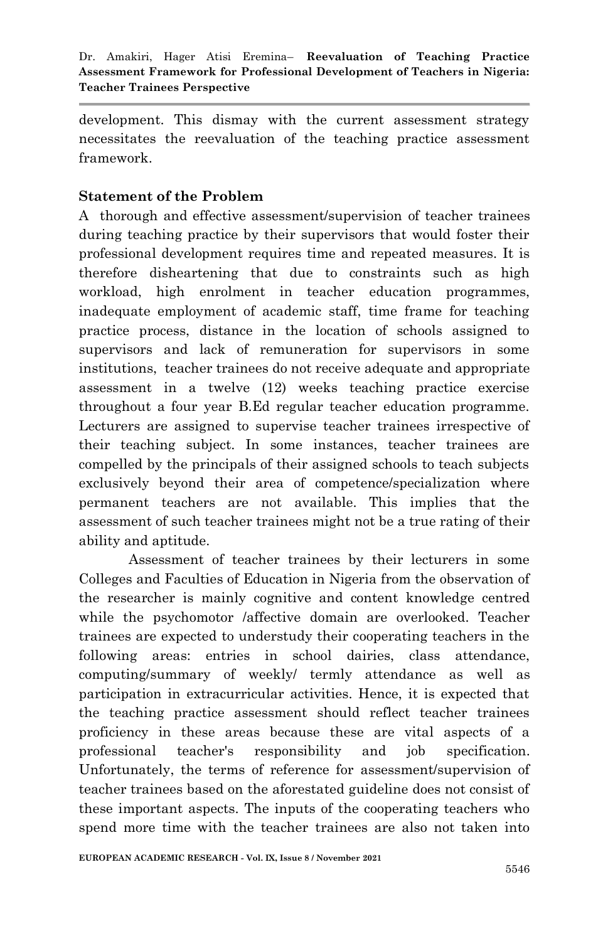development. This dismay with the current assessment strategy necessitates the reevaluation of the teaching practice assessment framework.

# **Statement of the Problem**

A thorough and effective assessment/supervision of teacher trainees during teaching practice by their supervisors that would foster their professional development requires time and repeated measures. It is therefore disheartening that due to constraints such as high workload, high enrolment in teacher education programmes, inadequate employment of academic staff, time frame for teaching practice process, distance in the location of schools assigned to supervisors and lack of remuneration for supervisors in some institutions, teacher trainees do not receive adequate and appropriate assessment in a twelve (12) weeks teaching practice exercise throughout a four year B.Ed regular teacher education programme. Lecturers are assigned to supervise teacher trainees irrespective of their teaching subject. In some instances, teacher trainees are compelled by the principals of their assigned schools to teach subjects exclusively beyond their area of competence/specialization where permanent teachers are not available. This implies that the assessment of such teacher trainees might not be a true rating of their ability and aptitude.

Assessment of teacher trainees by their lecturers in some Colleges and Faculties of Education in Nigeria from the observation of the researcher is mainly cognitive and content knowledge centred while the psychomotor /affective domain are overlooked. Teacher trainees are expected to understudy their cooperating teachers in the following areas: entries in school dairies, class attendance, computing/summary of weekly/ termly attendance as well as participation in extracurricular activities. Hence, it is expected that the teaching practice assessment should reflect teacher trainees proficiency in these areas because these are vital aspects of a professional teacher's responsibility and job specification. Unfortunately, the terms of reference for assessment/supervision of teacher trainees based on the aforestated guideline does not consist of these important aspects. The inputs of the cooperating teachers who spend more time with the teacher trainees are also not taken into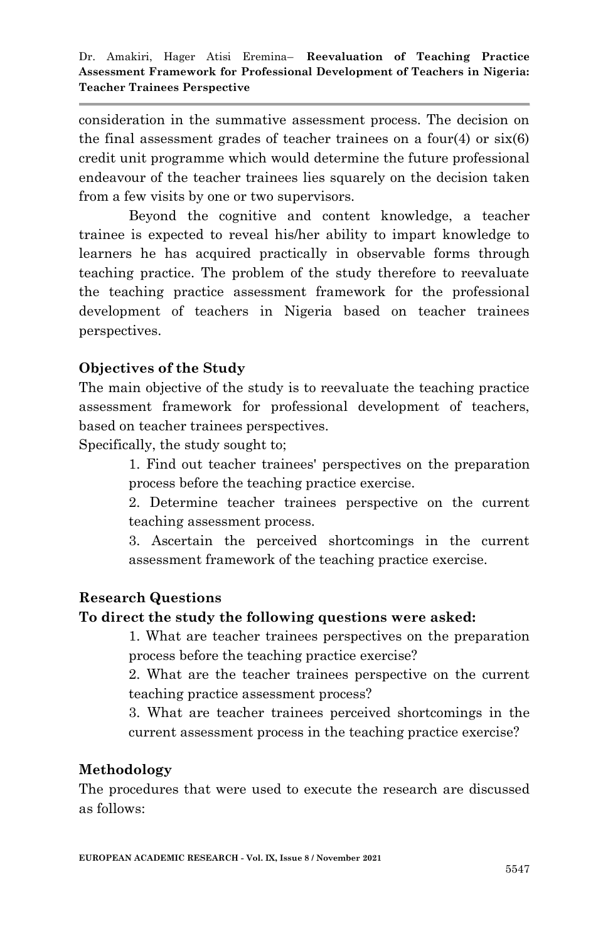consideration in the summative assessment process. The decision on the final assessment grades of teacher trainees on a four(4) or  $six(6)$ credit unit programme which would determine the future professional endeavour of the teacher trainees lies squarely on the decision taken from a few visits by one or two supervisors.

Beyond the cognitive and content knowledge, a teacher trainee is expected to reveal his/her ability to impart knowledge to learners he has acquired practically in observable forms through teaching practice. The problem of the study therefore to reevaluate the teaching practice assessment framework for the professional development of teachers in Nigeria based on teacher trainees perspectives.

# **Objectives of the Study**

The main objective of the study is to reevaluate the teaching practice assessment framework for professional development of teachers, based on teacher trainees perspectives.

Specifically, the study sought to;

1. Find out teacher trainees' perspectives on the preparation process before the teaching practice exercise.

2. Determine teacher trainees perspective on the current teaching assessment process.

3. Ascertain the perceived shortcomings in the current assessment framework of the teaching practice exercise.

## **Research Questions**

## **To direct the study the following questions were asked:**

1. What are teacher trainees perspectives on the preparation process before the teaching practice exercise?

2. What are the teacher trainees perspective on the current teaching practice assessment process?

3. What are teacher trainees perceived shortcomings in the current assessment process in the teaching practice exercise?

## **Methodology**

The procedures that were used to execute the research are discussed as follows: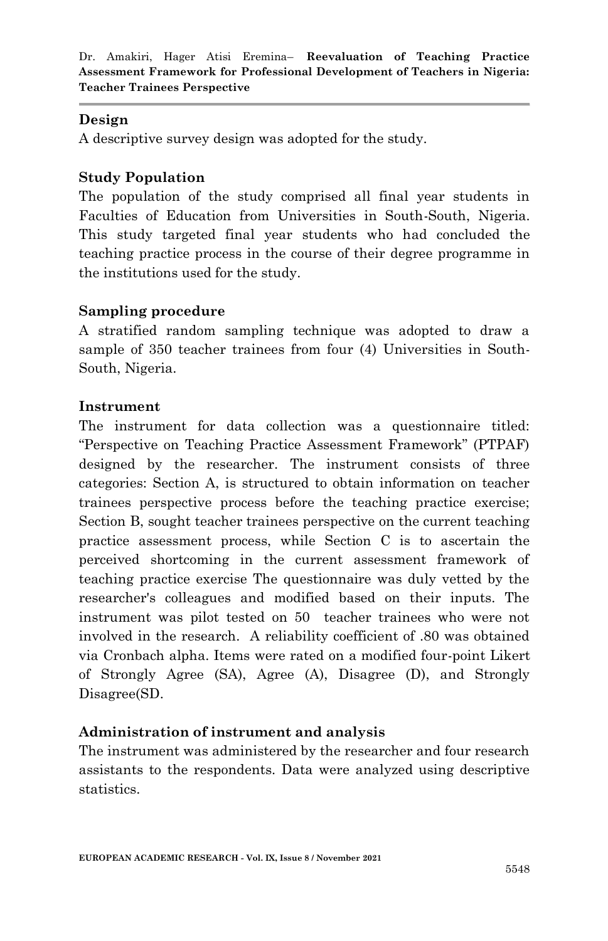## **Design**

A descriptive survey design was adopted for the study.

## **Study Population**

The population of the study comprised all final year students in Faculties of Education from Universities in South-South, Nigeria. This study targeted final year students who had concluded the teaching practice process in the course of their degree programme in the institutions used for the study.

## **Sampling procedure**

A stratified random sampling technique was adopted to draw a sample of 350 teacher trainees from four (4) Universities in South-South, Nigeria.

## **Instrument**

The instrument for data collection was a questionnaire titled: "Perspective on Teaching Practice Assessment Framework" (PTPAF) designed by the researcher. The instrument consists of three categories: Section A, is structured to obtain information on teacher trainees perspective process before the teaching practice exercise; Section B, sought teacher trainees perspective on the current teaching practice assessment process, while Section C is to ascertain the perceived shortcoming in the current assessment framework of teaching practice exercise The questionnaire was duly vetted by the researcher's colleagues and modified based on their inputs. The instrument was pilot tested on 50 teacher trainees who were not involved in the research. A reliability coefficient of .80 was obtained via Cronbach alpha. Items were rated on a modified four-point Likert of Strongly Agree (SA), Agree (A), Disagree (D), and Strongly Disagree(SD.

# **Administration of instrument and analysis**

The instrument was administered by the researcher and four research assistants to the respondents. Data were analyzed using descriptive statistics.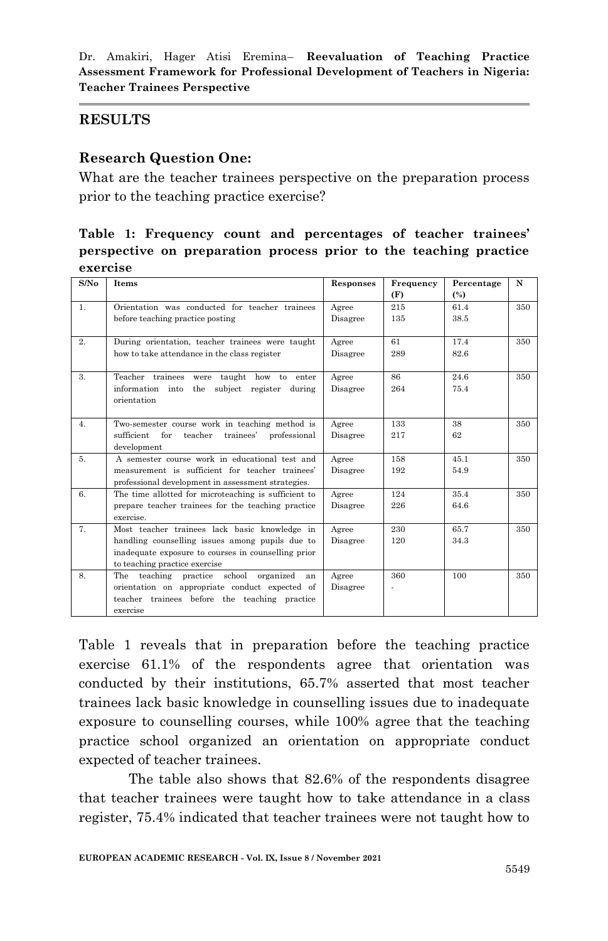#### **RESULTS**

#### **Research Question One:**

What are the teacher trainees perspective on the preparation process prior to the teaching practice exercise?

## **Table 1: Frequency count and percentages of teacher trainees' perspective on preparation process prior to the teaching practice exercise**

| S/No           | Items                                                  | Responses | Frequency | Percentage | N   |
|----------------|--------------------------------------------------------|-----------|-----------|------------|-----|
|                |                                                        |           | (F)       | $(\%)$     |     |
| 1.             | Orientation was conducted for teacher trainees         | Agree     | 215       | 61.4       | 350 |
|                | before teaching practice posting                       | Disagree  | 135       | 38.5       |     |
|                |                                                        |           |           |            |     |
| 2.             | During orientation, teacher trainees were taught       | Agree     | 61        | 17.4       | 350 |
|                | how to take attendance in the class register           | Disagree  | 289       | 82.6       |     |
|                |                                                        |           |           |            |     |
| $\mathbf{3}$ . | Teacher trainees were taught how to enter              | Agree     | 86        | 24.6       | 350 |
|                | information into the subject register during           | Disagree  | 264       | 75.4       |     |
|                | orientation                                            |           |           |            |     |
|                |                                                        |           |           |            |     |
| 4.             | Two-semester course work in teaching method is         | Agree     | 133       | 38         | 350 |
|                | sufficient for<br>teacher<br>trainees'<br>professional | Disagree  | 217       | 62         |     |
|                | development                                            |           |           |            |     |
| 5.             | A semester course work in educational test and         | Agree     | 158       | 45.1       | 350 |
|                | measurement is sufficient for teacher trainees'        | Disagree  | 192       | 54.9       |     |
|                | professional development in assessment strategies.     |           |           |            |     |
| 6.             | The time allotted for microteaching is sufficient to   | Agree     | 124       | 35.4       | 350 |
|                | prepare teacher trainees for the teaching practice     | Disagree  | 226       | 64.6       |     |
|                | exercise.                                              |           |           |            |     |
| 7.             | Most teacher trainees lack basic knowledge in          | Agree     | 230       | 65.7       | 350 |
|                | handling counselling issues among pupils due to        | Disagree  | 120       | 34.3       |     |
|                | inadequate exposure to courses in counselling prior    |           |           |            |     |
|                | to teaching practice exercise                          |           |           |            |     |
| 8.             | The teaching practice school<br>organized<br>an        | Agree     | 360       | 100        | 350 |
|                | orientation on appropriate conduct expected of         | Disagree  |           |            |     |
|                | teacher trainees before the teaching practice          |           |           |            |     |
|                | exercise                                               |           |           |            |     |

Table 1 reveals that in preparation before the teaching practice exercise 61.1% of the respondents agree that orientation was conducted by their institutions, 65.7% asserted that most teacher trainees lack basic knowledge in counselling issues due to inadequate exposure to counselling courses, while 100% agree that the teaching practice school organized an orientation on appropriate conduct expected of teacher trainees.

The table also shows that 82.6% of the respondents disagree that teacher trainees were taught how to take attendance in a class register, 75.4% indicated that teacher trainees were not taught how to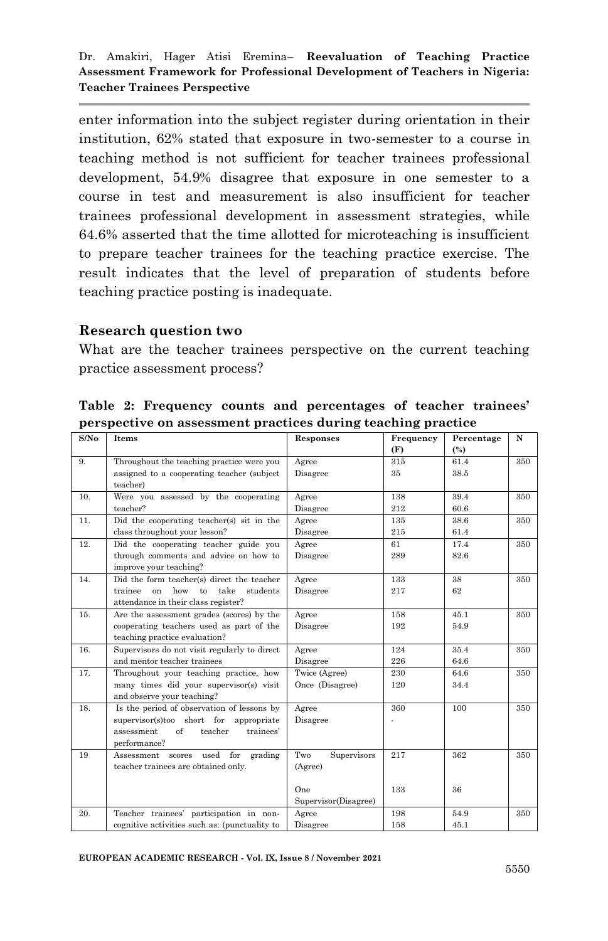enter information into the subject register during orientation in their institution, 62% stated that exposure in two-semester to a course in teaching method is not sufficient for teacher trainees professional development, 54.9% disagree that exposure in one semester to a course in test and measurement is also insufficient for teacher trainees professional development in assessment strategies, while 64.6% asserted that the time allotted for microteaching is insufficient to prepare teacher trainees for the teaching practice exercise. The result indicates that the level of preparation of students before teaching practice posting is inadequate.

#### **Research question two**

What are the teacher trainees perspective on the current teaching practice assessment process?

| S/No            | <b>Items</b>                                        | Responses            | Frequency | Percentage | N   |
|-----------------|-----------------------------------------------------|----------------------|-----------|------------|-----|
|                 |                                                     |                      | (F)       | (%)        |     |
| 9.              | Throughout the teaching practice were you           | Agree                | 315       | 61.4       | 350 |
|                 | assigned to a cooperating teacher (subject          | Disagree             | 35        | 38.5       |     |
|                 | teacher)                                            |                      |           |            |     |
| 10 <sub>1</sub> | Were you assessed by the cooperating                | Agree                | 138       | 39.4       | 350 |
|                 | teacher?                                            | Disagree             | 212       | 60.6       |     |
| 11.             | Did the cooperating teacher(s) sit in the           | Agree                | 135       | 38.6       | 350 |
|                 | class throughout your lesson?                       | Disagree             | 215       | 61.4       |     |
| 12.             | Did the cooperating teacher guide you               | Agree                | 61        | 17.4       | 350 |
|                 | through comments and advice on how to               | Disagree             | 289       | 82.6       |     |
|                 | improve your teaching?                              |                      |           |            |     |
| 14.             | Did the form teacher(s) direct the teacher          | Agree                | 133       | 38         | 350 |
|                 | take<br>trainee<br>how<br>to<br>students<br>$_{0n}$ | Disagree             | 217       | 62         |     |
|                 | attendance in their class register?                 |                      |           |            |     |
| 15.             | Are the assessment grades (scores) by the           | Agree                | 158       | 45.1       | 350 |
|                 | cooperating teachers used as part of the            | Disagree             | 192       | 54.9       |     |
|                 | teaching practice evaluation?                       |                      |           |            |     |
| 16.             | Supervisors do not visit regularly to direct        | Agree                | 124       | 35.4       | 350 |
|                 | and mentor teacher trainees                         | Disagree             | 226       | 64.6       |     |
| 17.             | Throughout your teaching practice, how              | Twice (Agree)        | 230       | 64.6       | 350 |
|                 | many times did your supervisor(s) visit             | Once (Disagree)      | 120       | 34.4       |     |
|                 | and observe your teaching?                          |                      |           |            |     |
| 18.             | Is the period of observation of lessons by          | Agree                | 360       | 100        | 350 |
|                 | supervisor(s)too short for<br>appropriate           | Disagree             |           |            |     |
|                 | of<br>teacher<br>assessment<br>trainees'            |                      |           |            |     |
|                 | performance?                                        |                      |           |            |     |
| 19              | used for<br>grading<br>Assessment<br>scores         | Two<br>Supervisors   | 217       | 362        | 350 |
|                 | teacher trainees are obtained only.                 | (Agree)              |           |            |     |
|                 |                                                     |                      |           |            |     |
|                 |                                                     | One.                 | 133       | 36         |     |
|                 |                                                     | Supervisor(Disagree) |           |            |     |
| 20.             | Teacher trainees' participation in non-             | Agree                | 198       | 54.9       | 350 |
|                 | cognitive activities such as: (punctuality to       | Disagree             | 158       | 45.1       |     |

**Table 2: Frequency counts and percentages of teacher trainees' perspective on assessment practices during teaching practice**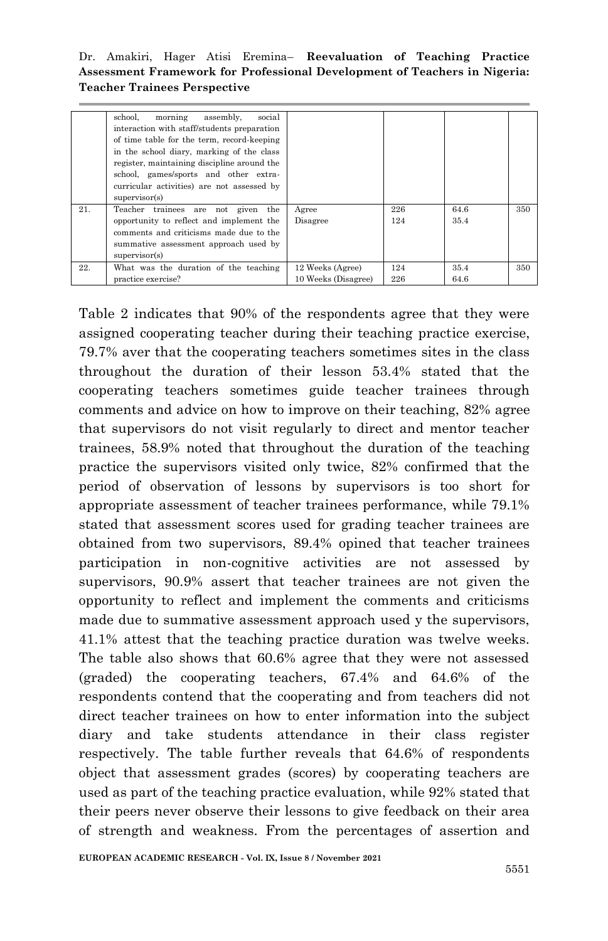Dr. Amakiri, Hager Atisi Eremina– **Reevaluation of Teaching Practice Assessment Framework for Professional Development of Teachers in Nigeria: Teacher Trainees Perspective**

|     | school.<br>morning<br>assembly,<br>social   |                     |     |      |     |
|-----|---------------------------------------------|---------------------|-----|------|-----|
|     | interaction with staff/students preparation |                     |     |      |     |
|     | of time table for the term, record-keeping  |                     |     |      |     |
|     | in the school diary, marking of the class   |                     |     |      |     |
|     | register, maintaining discipline around the |                     |     |      |     |
|     | school, games/sports and other extra-       |                     |     |      |     |
|     |                                             |                     |     |      |     |
|     | curricular activities) are not assessed by  |                     |     |      |     |
|     | supervisor(s)                               |                     |     |      |     |
| 21. | Teacher trainees are<br>the<br>given<br>not | Agree               | 226 | 64.6 | 350 |
|     | opportunity to reflect and implement the    | Disagree            | 124 | 35.4 |     |
|     | comments and criticisms made due to the     |                     |     |      |     |
|     | summative assessment approach used by       |                     |     |      |     |
|     |                                             |                     |     |      |     |
|     | supervisor(s)                               |                     |     |      |     |
| 22. | What was the duration of the teaching       | 12 Weeks (Agree)    | 124 | 35.4 | 350 |
|     | practice exercise?                          | 10 Weeks (Disagree) | 226 | 64.6 |     |

Table 2 indicates that 90% of the respondents agree that they were assigned cooperating teacher during their teaching practice exercise, 79.7% aver that the cooperating teachers sometimes sites in the class throughout the duration of their lesson 53.4% stated that the cooperating teachers sometimes guide teacher trainees through comments and advice on how to improve on their teaching, 82% agree that supervisors do not visit regularly to direct and mentor teacher trainees, 58.9% noted that throughout the duration of the teaching practice the supervisors visited only twice, 82% confirmed that the period of observation of lessons by supervisors is too short for appropriate assessment of teacher trainees performance, while 79.1% stated that assessment scores used for grading teacher trainees are obtained from two supervisors, 89.4% opined that teacher trainees participation in non-cognitive activities are not assessed by supervisors, 90.9% assert that teacher trainees are not given the opportunity to reflect and implement the comments and criticisms made due to summative assessment approach used y the supervisors, 41.1% attest that the teaching practice duration was twelve weeks. The table also shows that 60.6% agree that they were not assessed (graded) the cooperating teachers, 67.4% and 64.6% of the respondents contend that the cooperating and from teachers did not direct teacher trainees on how to enter information into the subject diary and take students attendance in their class register respectively. The table further reveals that 64.6% of respondents object that assessment grades (scores) by cooperating teachers are used as part of the teaching practice evaluation, while 92% stated that their peers never observe their lessons to give feedback on their area of strength and weakness. From the percentages of assertion and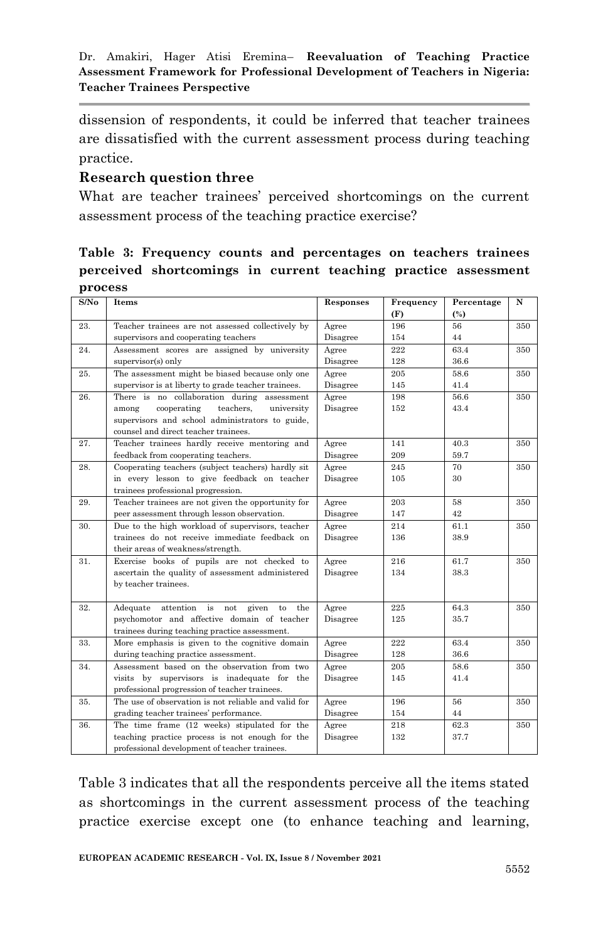dissension of respondents, it could be inferred that teacher trainees are dissatisfied with the current assessment process during teaching practice.

## **Research question three**

What are teacher trainees' perceived shortcomings on the current assessment process of the teaching practice exercise?

**Table 3: Frequency counts and percentages on teachers trainees perceived shortcomings in current teaching practice assessment process**

| S/No | Items                                                 | Responses | Frequency | Percentage | N   |
|------|-------------------------------------------------------|-----------|-----------|------------|-----|
|      |                                                       |           | (F)       | (%)        |     |
| 23.  | Teacher trainees are not assessed collectively by     | Agree     | 196       | 56         | 350 |
|      | supervisors and cooperating teachers                  | Disagree  | 154       | 44         |     |
| 24.  | Assessment scores are assigned by university          | Agree     | 222       | 63.4       | 350 |
|      | $supervisor(s)$ only                                  | Disagree  | 128       | 36.6       |     |
| 25.  | The assessment might be biased because only one       | Agree     | 205       | 58.6       | 350 |
|      | supervisor is at liberty to grade teacher trainees.   | Disagree  | 145       | 41.4       |     |
| 26.  | There is no collaboration during assessment           | Agree     | 198       | 56.6       | 350 |
|      | cooperating<br>teachers.<br>university<br>among       | Disagree  | 152       | 43.4       |     |
|      | supervisors and school administrators to guide,       |           |           |            |     |
|      | counsel and direct teacher trainees.                  |           |           |            |     |
| 27.  | Teacher trainees hardly receive mentoring and         | Agree     | 141       | 40.3       | 350 |
|      | feedback from cooperating teachers.                   | Disagree  | 209       | 59.7       |     |
| 28.  | Cooperating teachers (subject teachers) hardly sit    | Agree     | 245       | 70         | 350 |
|      | in every lesson to give feedback on teacher           | Disagree  | 105       | 30         |     |
|      | trainees professional progression.                    |           |           |            |     |
| 29.  | Teacher trainees are not given the opportunity for    | Agree     | 203       | 58         | 350 |
|      | peer assessment through lesson observation.           | Disagree  | 147       | 42         |     |
| 30.  | Due to the high workload of supervisors, teacher      | Agree     | 214       | 61.1       | 350 |
|      | trainees do not receive immediate feedback on         | Disagree  | 136       | 38.9       |     |
|      | their areas of weakness/strength.                     |           |           |            |     |
| 31.  | Exercise books of pupils are not checked to           | Agree     | 216       | 61.7       | 350 |
|      | ascertain the quality of assessment administered      | Disagree  | 134       | 38.3       |     |
|      | by teacher trainees.                                  |           |           |            |     |
|      |                                                       |           |           |            |     |
| 32.  | attention is<br>Adequate<br>not<br>given<br>the<br>to | Agree     | 225       | 64.3       | 350 |
|      | psychomotor and affective domain of teacher           | Disagree  | 125       | 35.7       |     |
|      | trainees during teaching practice assessment.         |           |           |            |     |
| 33.  | More emphasis is given to the cognitive domain        | Agree     | 222       | 63.4       | 350 |
|      | during teaching practice assessment.                  | Disagree  | 128       | 36.6       |     |
| 34.  | Assessment based on the observation from two          | Agree     | 205       | 58.6       | 350 |
|      | visits by supervisors is inadequate for the           | Disagree  | 145       | 41.4       |     |
|      | professional progression of teacher trainees.         |           |           |            |     |
| 35.  | The use of observation is not reliable and valid for  | Agree     | 196       | 56         | 350 |
|      | grading teacher trainees' performance.                | Disagree  | 154       | 44         |     |
| 36.  | The time frame (12 weeks) stipulated for the          | Agree     | 218       | 62.3       | 350 |
|      | teaching practice process is not enough for the       | Disagree  | 132       | 37.7       |     |
|      | professional development of teacher trainees.         |           |           |            |     |

Table 3 indicates that all the respondents perceive all the items stated as shortcomings in the current assessment process of the teaching practice exercise except one (to enhance teaching and learning,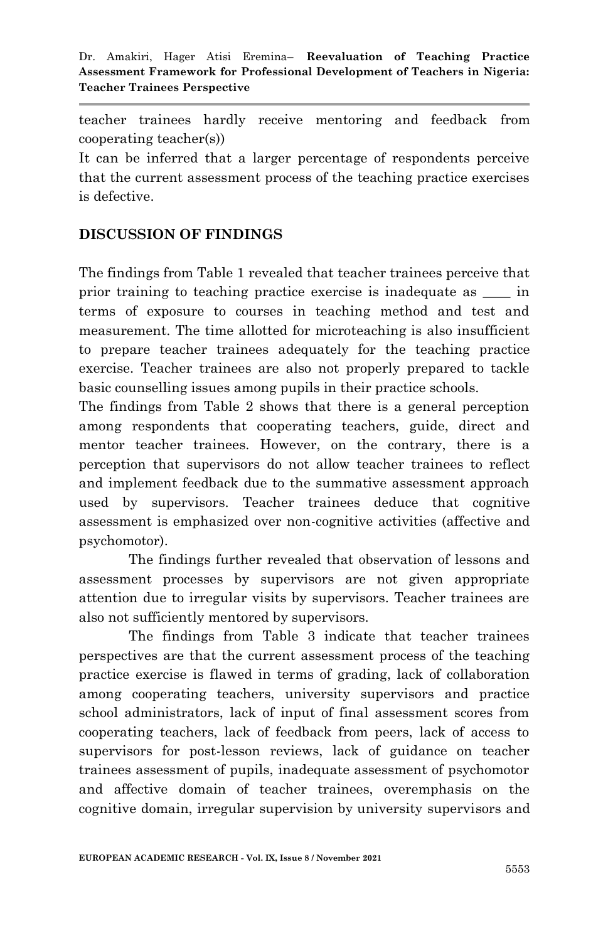teacher trainees hardly receive mentoring and feedback from cooperating teacher(s))

It can be inferred that a larger percentage of respondents perceive that the current assessment process of the teaching practice exercises is defective.

# **DISCUSSION OF FINDINGS**

The findings from Table 1 revealed that teacher trainees perceive that prior training to teaching practice exercise is inadequate as \_\_\_\_ in terms of exposure to courses in teaching method and test and measurement. The time allotted for microteaching is also insufficient to prepare teacher trainees adequately for the teaching practice exercise. Teacher trainees are also not properly prepared to tackle basic counselling issues among pupils in their practice schools.

The findings from Table 2 shows that there is a general perception among respondents that cooperating teachers, guide, direct and mentor teacher trainees. However, on the contrary, there is a perception that supervisors do not allow teacher trainees to reflect and implement feedback due to the summative assessment approach used by supervisors. Teacher trainees deduce that cognitive assessment is emphasized over non-cognitive activities (affective and psychomotor).

The findings further revealed that observation of lessons and assessment processes by supervisors are not given appropriate attention due to irregular visits by supervisors. Teacher trainees are also not sufficiently mentored by supervisors.

The findings from Table 3 indicate that teacher trainees perspectives are that the current assessment process of the teaching practice exercise is flawed in terms of grading, lack of collaboration among cooperating teachers, university supervisors and practice school administrators, lack of input of final assessment scores from cooperating teachers, lack of feedback from peers, lack of access to supervisors for post-lesson reviews, lack of guidance on teacher trainees assessment of pupils, inadequate assessment of psychomotor and affective domain of teacher trainees, overemphasis on the cognitive domain, irregular supervision by university supervisors and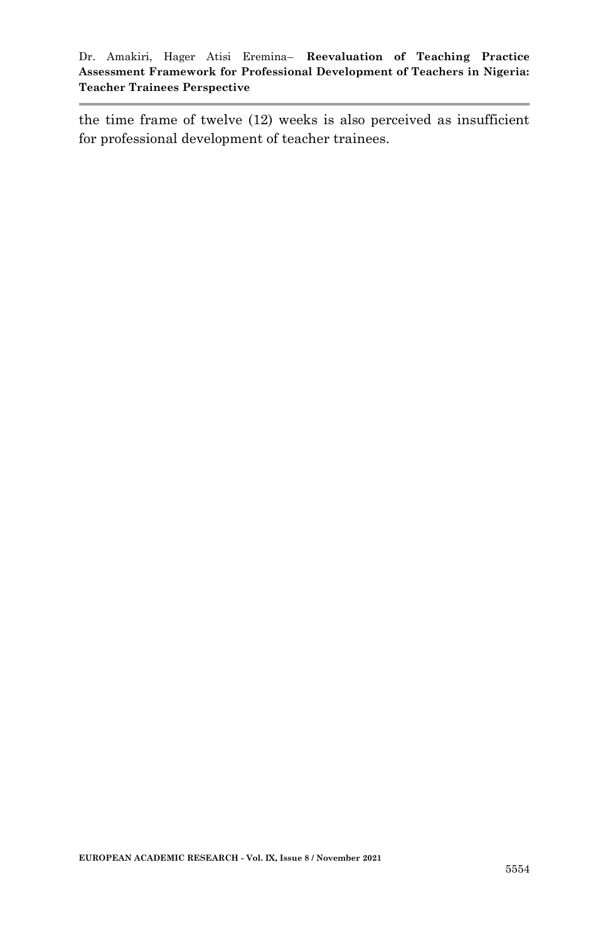the time frame of twelve (12) weeks is also perceived as insufficient for professional development of teacher trainees.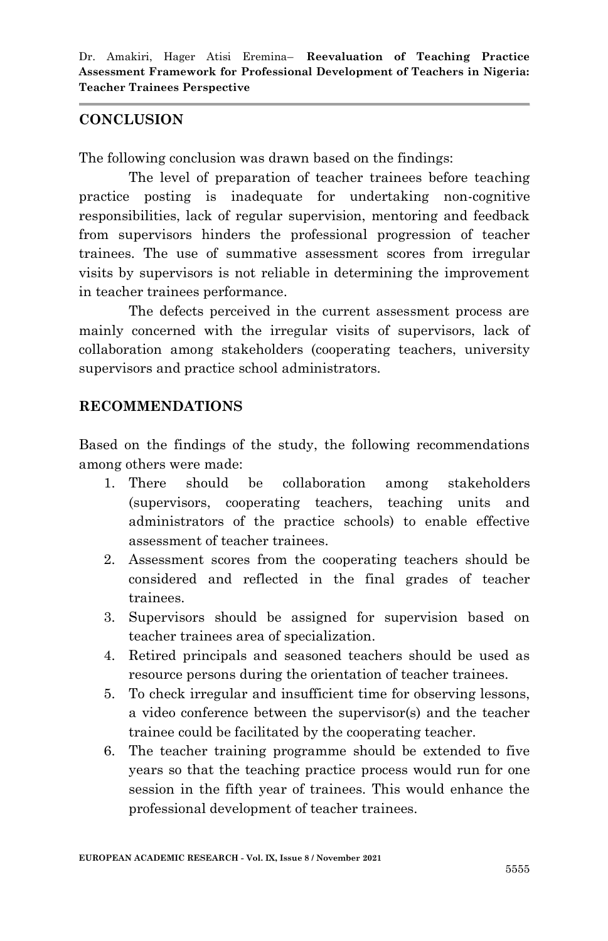# **CONCLUSION**

The following conclusion was drawn based on the findings:

The level of preparation of teacher trainees before teaching practice posting is inadequate for undertaking non-cognitive responsibilities, lack of regular supervision, mentoring and feedback from supervisors hinders the professional progression of teacher trainees. The use of summative assessment scores from irregular visits by supervisors is not reliable in determining the improvement in teacher trainees performance.

The defects perceived in the current assessment process are mainly concerned with the irregular visits of supervisors, lack of collaboration among stakeholders (cooperating teachers, university supervisors and practice school administrators.

# **RECOMMENDATIONS**

Based on the findings of the study, the following recommendations among others were made:

- 1. There should be collaboration among stakeholders (supervisors, cooperating teachers, teaching units and administrators of the practice schools) to enable effective assessment of teacher trainees.
- 2. Assessment scores from the cooperating teachers should be considered and reflected in the final grades of teacher trainees.
- 3. Supervisors should be assigned for supervision based on teacher trainees area of specialization.
- 4. Retired principals and seasoned teachers should be used as resource persons during the orientation of teacher trainees.
- 5. To check irregular and insufficient time for observing lessons, a video conference between the supervisor(s) and the teacher trainee could be facilitated by the cooperating teacher.
- 6. The teacher training programme should be extended to five years so that the teaching practice process would run for one session in the fifth year of trainees. This would enhance the professional development of teacher trainees.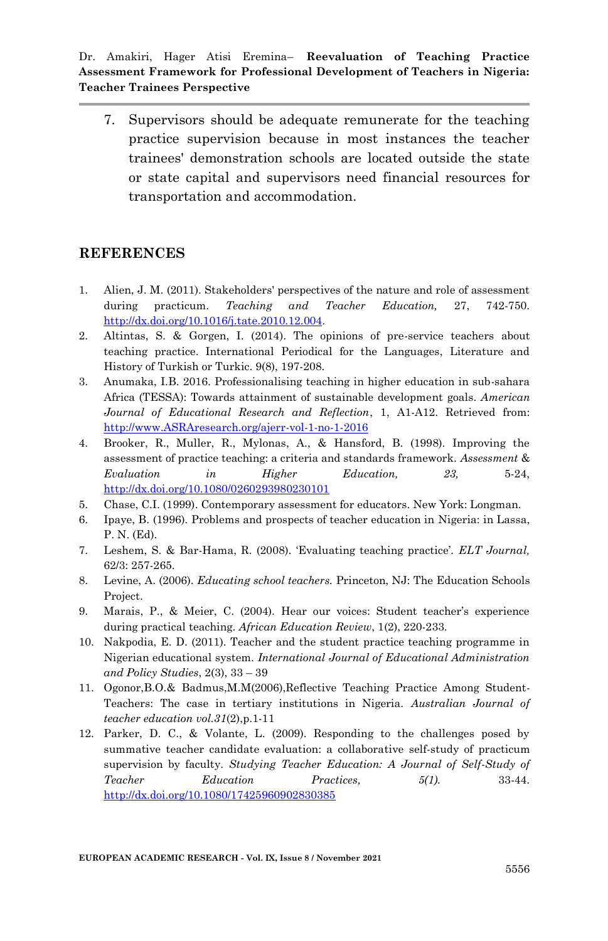7. Supervisors should be adequate remunerate for the teaching practice supervision because in most instances the teacher trainees' demonstration schools are located outside the state or state capital and supervisors need financial resources for transportation and accommodation.

#### **REFERENCES**

- 1. Alien, J. M. (2011). Stakeholders' perspectives of the nature and role of assessment during practicum. *Teaching and Teacher Education,* 27, 742-750. [http://dx.doi.org/10.1016/j.tate.2010.12.004.](http://dx.doi.org/10.1016/j.tate.2010.12.004)
- 2. Altintas, S. & Gorgen, I. (2014). The opinions of pre-service teachers about teaching practice. International Periodical for the Languages, Literature and History of Turkish or Turkic. 9(8), 197-208.
- 3. Anumaka, I.B. 2016. Professionalising teaching in higher education in sub-sahara Africa (TESSA): Towards attainment of sustainable development goals. *American Journal of Educational Research and Reflection*, 1, A1-A12. Retrieved from: [http://www.ASRAresearch.org/ajerr-vol-1-no-1-2016](http://www.asraresearch.org/ajerr-vol-1-no-1-2016)
- 4. Brooker, R., Muller, R., Mylonas, A., & Hansford, B. (1998). Improving the assessment of practice teaching: a criteria and standards framework. *Assessment* & *Evaluation in Higher Education, 23,* 5-24, <http://dx.doi.org/10.1080/0260293980230101>
- 5. Chase, C.I. (1999). Contemporary assessment for educators. New York: Longman.
- 6. Ipaye, B. (1996). Problems and prospects of teacher education in Nigeria: in Lassa, P. N. (Ed).
- 7. Leshem, S. & Bar-Hama, R. (2008). "Evaluating teaching practice". *ELT Journal,*  62/3: 257-265.
- 8. Levine, A. (2006). *Educating school teachers.* Princeton, NJ: The Education Schools Project.
- 9. Marais, P., & Meier, C. (2004). Hear our voices: Student teacher"s experience during practical teaching. *African Education Review*, 1(2), 220-233.
- 10. Nakpodia, E. D. (2011). Teacher and the student practice teaching programme in Nigerian educational system. *International Journal of Educational Administration and Policy Studies*, 2(3), 33 – 39
- 11. Ogonor,B.O.& Badmus,M.M(2006),Reflective Teaching Practice Among Student-Teachers: The case in tertiary institutions in Nigeria. *Australian Journal of teacher education vol.31*(2),p.1-11
- 12. Parker, D. C., & Volante, L. (2009). Responding to the challenges posed by summative teacher candidate evaluation: a collaborative self-study of practicum supervision by faculty. *Studying Teacher Education: A Journal of Self-Study of Teacher Education Practices, 5(1).* 33-44. <http://dx.doi.org/10.1080/17425960902830385>